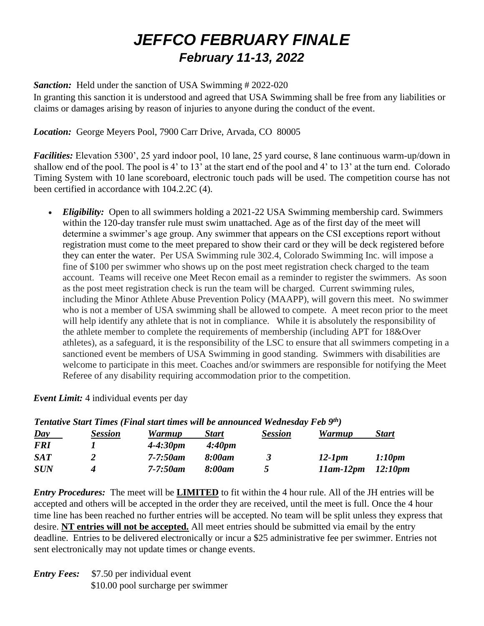# *JEFFCO FEBRUARY FINALE February 11-13, 2022*

### **Sanction:** Held under the sanction of USA Swimming # 2022-020

In granting this sanction it is understood and agreed that USA Swimming shall be free from any liabilities or claims or damages arising by reason of injuries to anyone during the conduct of the event.

### *Location:* George Meyers Pool, 7900 Carr Drive, Arvada, CO 80005

*Facilities:* Elevation 5300', 25 yard indoor pool, 10 lane, 25 yard course, 8 lane continuous warm-up/down in shallow end of the pool. The pool is 4' to 13' at the start end of the pool and 4' to 13' at the turn end. Colorado Timing System with 10 lane scoreboard, electronic touch pads will be used. The competition course has not been certified in accordance with 104.2.2C (4).

• *Eligibility:* Open to all swimmers holding a 2021-22 USA Swimming membership card. Swimmers within the 120-day transfer rule must swim unattached. Age as of the first day of the meet will determine a swimmer's age group. Any swimmer that appears on the CSI exceptions report without registration must come to the meet prepared to show their card or they will be deck registered before they can enter the water. Per USA Swimming rule 302.4, Colorado Swimming Inc. will impose a fine of \$100 per swimmer who shows up on the post meet registration check charged to the team account. Teams will receive one Meet Recon email as a reminder to register the swimmers. As soon as the post meet registration check is run the team will be charged. Current swimming rules, including the Minor Athlete Abuse Prevention Policy (MAAPP), will govern this meet. No swimmer who is not a member of USA swimming shall be allowed to compete. A meet recon prior to the meet will help identify any athlete that is not in compliance. While it is absolutely the responsibility of the athlete member to complete the requirements of membership (including APT for 18&Over athletes), as a safeguard, it is the responsibility of the LSC to ensure that all swimmers competing in a sanctioned event be members of USA Swimming in good standing. Swimmers with disabilities are welcome to participate in this meet. Coaches and/or swimmers are responsible for notifying the Meet Referee of any disability requiring accommodation prior to the competition.

|                  | Tentative Start Times (Final start times will be announced Wednesday Feb 9th) |               |                    |                |                  |              |
|------------------|-------------------------------------------------------------------------------|---------------|--------------------|----------------|------------------|--------------|
| $\overline{Day}$ | <b>Session</b>                                                                | <b>Warmup</b> | <b>Start</b>       | <b>Session</b> | <b>Warmup</b>    | <b>Start</b> |
| <b>FRI</b>       |                                                                               | $4 - 4:30pm$  | 4:40 <sub>pm</sub> |                |                  |              |
| SAT              |                                                                               | $7 - 7:50$ am | 8:00am             | 3              | $12$ -1pm        | 1:10pm       |
| <b>SUN</b>       |                                                                               | $7 - 7:50$ am | 8:00am             | ↖              | $11$ am- $12$ pm | 12:10pm      |

### *Event Limit:* 4 individual events per day

*Entry Procedures:* The meet will be **LIMITED** to fit within the 4 hour rule. All of the JH entries will be accepted and others will be accepted in the order they are received, until the meet is full. Once the 4 hour time line has been reached no further entries will be accepted. No team will be split unless they express that desire. **NT entries will not be accepted.** All meet entries should be submitted via email by the entry deadline. Entries to be delivered electronically or incur a \$25 administrative fee per swimmer. Entries not sent electronically may not update times or change events.

*Entry Fees:* \$7.50 per individual event \$10.00 pool surcharge per swimmer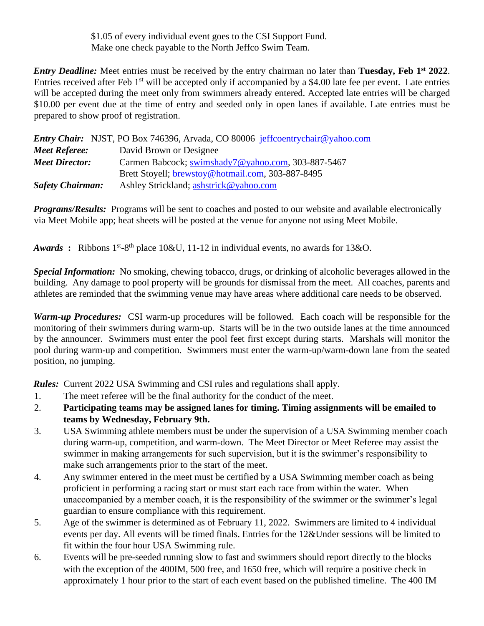\$1.05 of every individual event goes to the CSI Support Fund. Make one check payable to the North Jeffco Swim Team.

*Entry Deadline:* Meet entries must be received by the entry chairman no later than **Tuesday, Feb 1st 2022**. Entries received after Feb 1<sup>st</sup> will be accepted only if accompanied by a \$4.00 late fee per event. Late entries will be accepted during the meet only from swimmers already entered. Accepted late entries will be charged \$10.00 per event due at the time of entry and seeded only in open lanes if available. Late entries must be prepared to show proof of registration.

|                         | <i>Entry Chair:</i> NJST, PO Box 746396, Arvada, CO 80006 jeffcoentrychair@yahoo.com |
|-------------------------|--------------------------------------------------------------------------------------|
| <b>Meet Referee:</b>    | David Brown or Designee                                                              |
| <b>Meet Director:</b>   | Carmen Babcock; swimshady7@yahoo.com, 303-887-5467                                   |
|                         | Brett Stoyell; brewstoy@hotmail.com, 303-887-8495                                    |
| <b>Safety Chairman:</b> | Ashley Strickland; ashstrick@yahoo.com                                               |

*Programs/Results:* Programs will be sent to coaches and posted to our website and available electronically via Meet Mobile app; heat sheets will be posted at the venue for anyone not using Meet Mobile.

*Awards* : Ribbons  $1<sup>st</sup> - 8<sup>th</sup>$  place 10&U, 11-12 in individual events, no awards for 13&O.

*Special Information:*No smoking, chewing tobacco, drugs, or drinking of alcoholic beverages allowed in the building. Any damage to pool property will be grounds for dismissal from the meet. All coaches, parents and athletes are reminded that the swimming venue may have areas where additional care needs to be observed.

*Warm-up Procedures:* CSI warm-up procedures will be followed. Each coach will be responsible for the monitoring of their swimmers during warm-up. Starts will be in the two outside lanes at the time announced by the announcer. Swimmers must enter the pool feet first except during starts. Marshals will monitor the pool during warm-up and competition. Swimmers must enter the warm-up/warm-down lane from the seated position, no jumping.

*Rules:* Current 2022 USA Swimming and CSI rules and regulations shall apply.

- 1. The meet referee will be the final authority for the conduct of the meet.
- 2. **Participating teams may be assigned lanes for timing. Timing assignments will be emailed to teams by Wednesday, February 9th.**
- 3. USA Swimming athlete members must be under the supervision of a USA Swimming member coach during warm-up, competition, and warm-down. The Meet Director or Meet Referee may assist the swimmer in making arrangements for such supervision, but it is the swimmer's responsibility to make such arrangements prior to the start of the meet.
- 4. Any swimmer entered in the meet must be certified by a USA Swimming member coach as being proficient in performing a racing start or must start each race from within the water. When unaccompanied by a member coach, it is the responsibility of the swimmer or the swimmer's legal guardian to ensure compliance with this requirement.
- 5. Age of the swimmer is determined as of February 11, 2022. Swimmers are limited to 4 individual events per day. All events will be timed finals. Entries for the 12&Under sessions will be limited to fit within the four hour USA Swimming rule.
- 6. Events will be pre-seeded running slow to fast and swimmers should report directly to the blocks with the exception of the 400IM, 500 free, and 1650 free, which will require a positive check in approximately 1 hour prior to the start of each event based on the published timeline. The 400 IM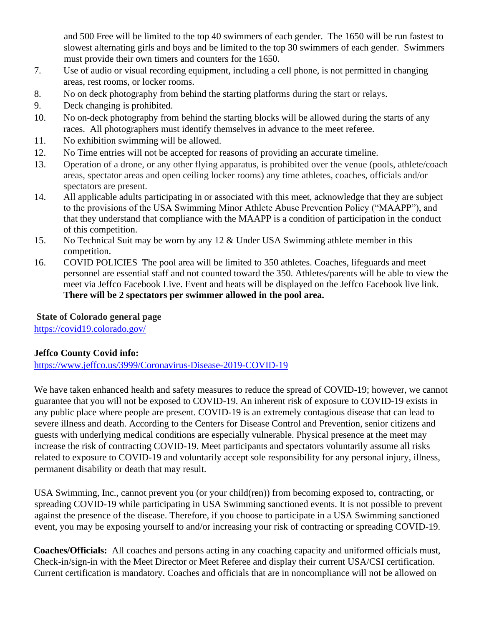and 500 Free will be limited to the top 40 swimmers of each gender. The 1650 will be run fastest to slowest alternating girls and boys and be limited to the top 30 swimmers of each gender. Swimmers must provide their own timers and counters for the 1650.

- 7. Use of audio or visual recording equipment, including a cell phone, is not permitted in changing areas, rest rooms, or locker rooms.
- 8. No on deck photography from behind the starting platforms during the start or relays.
- 9. Deck changing is prohibited.
- 10. No on-deck photography from behind the starting blocks will be allowed during the starts of any races. All photographers must identify themselves in advance to the meet referee.
- 11. No exhibition swimming will be allowed.
- 12. No Time entries will not be accepted for reasons of providing an accurate timeline.
- 13. Operation of a drone, or any other flying apparatus, is prohibited over the venue (pools, athlete/coach areas, spectator areas and open ceiling locker rooms) any time athletes, coaches, officials and/or spectators are present.
- 14. All applicable adults participating in or associated with this meet, acknowledge that they are subject to the provisions of the USA Swimming Minor Athlete Abuse Prevention Policy ("MAAPP"), and that they understand that compliance with the MAAPP is a condition of participation in the conduct of this competition.
- 15. No Technical Suit may be worn by any 12 & Under USA Swimming athlete member in this competition.
- 16. COVID POLICIES The pool area will be limited to 350 athletes. Coaches, lifeguards and meet personnel are essential staff and not counted toward the 350. Athletes/parents will be able to view the meet via Jeffco Facebook Live. Event and heats will be displayed on the Jeffco Facebook live link. **There will be 2 spectators per swimmer allowed in the pool area.**

# **State of Colorado general page**

[https://covid19.colorado.gov/](https://nam10.safelinks.protection.outlook.com/?url=https%3A%2F%2Fcovid19.colorado.gov%2F&data=02%7C01%7C%7Ca254755df9734d5b119e08d82426148f%7C84df9e7fe9f640afb435aaaaaaaaaaaa%7C1%7C0%7C637299093251897331&sdata=moHnJtbFsfKozoFPtF3LGnPdnEuuPlIyfFA7JA0rR7w%3D&reserved=0)

# **Jeffco County Covid info:**

<https://www.jeffco.us/3999/Coronavirus-Disease-2019-COVID-19>

We have taken enhanced health and safety measures to reduce the spread of COVID-19; however, we cannot guarantee that you will not be exposed to COVID-19. An inherent risk of exposure to COVID-19 exists in any public place where people are present. COVID-19 is an extremely contagious disease that can lead to severe illness and death. According to the Centers for Disease Control and Prevention, senior citizens and guests with underlying medical conditions are especially vulnerable. Physical presence at the meet may increase the risk of contracting COVID-19. Meet participants and spectators voluntarily assume all risks related to exposure to COVID-19 and voluntarily accept sole responsibility for any personal injury, illness, permanent disability or death that may result.

USA Swimming, Inc., cannot prevent you (or your child(ren)) from becoming exposed to, contracting, or spreading COVID-19 while participating in USA Swimming sanctioned events. It is not possible to prevent against the presence of the disease. Therefore, if you choose to participate in a USA Swimming sanctioned event, you may be exposing yourself to and/or increasing your risk of contracting or spreading COVID-19.

**Coaches/Officials:** All coaches and persons acting in any coaching capacity and uniformed officials must, Check-in/sign-in with the Meet Director or Meet Referee and display their current USA/CSI certification. Current certification is mandatory. Coaches and officials that are in noncompliance will not be allowed on